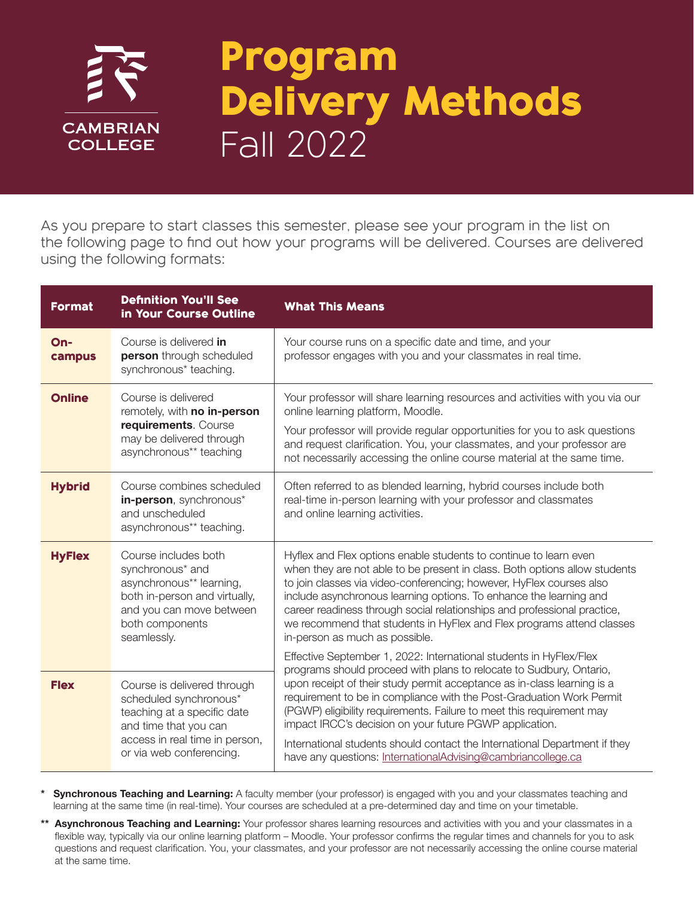

## Program Delivery Methods Fall 2022

As you prepare to start classes this semester, please see your program in the list on the following page to find out how your programs will be delivered. Courses are delivered using the following formats:

| <b>Format</b> | <b>Definition You'll See</b><br>in Your Course Outline                                                                                                                      | <b>What This Means</b>                                                                                                                                                                                                                                                                                                                                                                                                                                                                                                                                                         |
|---------------|-----------------------------------------------------------------------------------------------------------------------------------------------------------------------------|--------------------------------------------------------------------------------------------------------------------------------------------------------------------------------------------------------------------------------------------------------------------------------------------------------------------------------------------------------------------------------------------------------------------------------------------------------------------------------------------------------------------------------------------------------------------------------|
| On-<br>campus | Course is delivered in<br>person through scheduled<br>synchronous* teaching.                                                                                                | Your course runs on a specific date and time, and your<br>professor engages with you and your classmates in real time.                                                                                                                                                                                                                                                                                                                                                                                                                                                         |
| <b>Online</b> | Course is delivered<br>remotely, with no in-person<br>requirements. Course<br>may be delivered through<br>asynchronous** teaching                                           | Your professor will share learning resources and activities with you via our<br>online learning platform, Moodle.<br>Your professor will provide regular opportunities for you to ask questions<br>and request clarification. You, your classmates, and your professor are<br>not necessarily accessing the online course material at the same time.                                                                                                                                                                                                                           |
| <b>Hybrid</b> | Course combines scheduled<br>in-person, synchronous*<br>and unscheduled<br>asynchronous** teaching.                                                                         | Often referred to as blended learning, hybrid courses include both<br>real-time in-person learning with your professor and classmates<br>and online learning activities.                                                                                                                                                                                                                                                                                                                                                                                                       |
| <b>HyFlex</b> | Course includes both<br>synchronous* and<br>asynchronous** learning,<br>both in-person and virtually,<br>and you can move between<br>both components<br>seamlessly.         | Hyflex and Flex options enable students to continue to learn even<br>when they are not able to be present in class. Both options allow students<br>to join classes via video-conferencing; however, HyFlex courses also<br>include asynchronous learning options. To enhance the learning and<br>career readiness through social relationships and professional practice,<br>we recommend that students in HyFlex and Flex programs attend classes<br>in-person as much as possible.                                                                                           |
| <b>Flex</b>   | Course is delivered through<br>scheduled synchronous*<br>teaching at a specific date<br>and time that you can<br>access in real time in person,<br>or via web conferencing. | Effective September 1, 2022: International students in HyFlex/Flex<br>programs should proceed with plans to relocate to Sudbury, Ontario,<br>upon receipt of their study permit acceptance as in-class learning is a<br>requirement to be in compliance with the Post-Graduation Work Permit<br>(PGWP) eligibility requirements. Failure to meet this requirement may<br>impact IRCC's decision on your future PGWP application.<br>International students should contact the International Department if they<br>have any questions: InternationalAdvising@cambriancollege.ca |

Synchronous Teaching and Learning: A faculty member (your professor) is engaged with you and your classmates teaching and learning at the same time (in real-time). Your courses are scheduled at a pre-determined day and time on your timetable.

\*\* Asynchronous Teaching and Learning: Your professor shares learning resources and activities with you and your classmates in a flexible way, typically via our online learning platform – Moodle. Your professor confirms the regular times and channels for you to ask questions and request clarification. You, your classmates, and your professor are not necessarily accessing the online course material at the same time.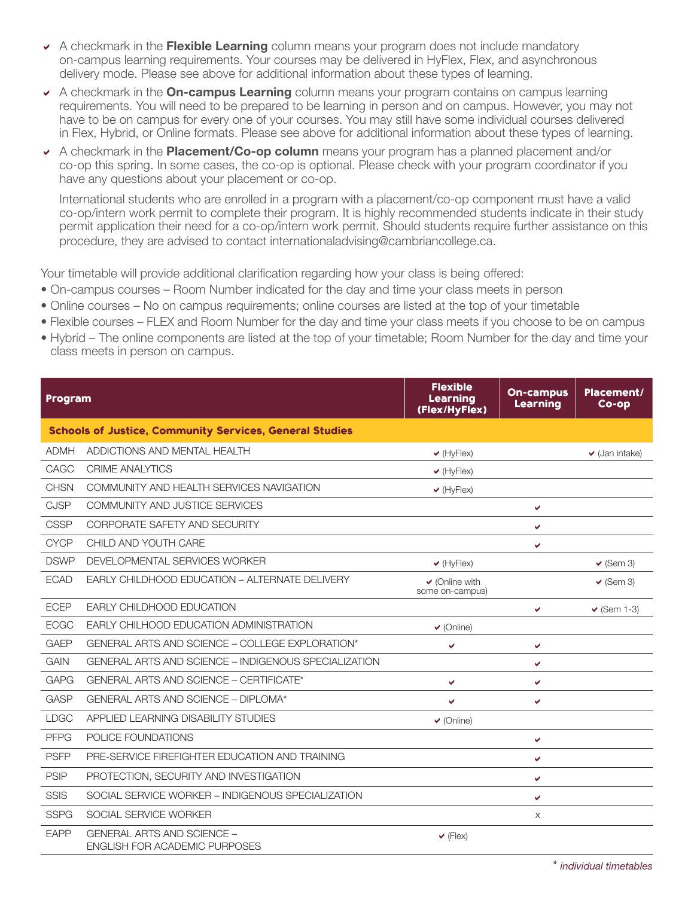- $\rightarrow$  A checkmark in the **Flexible Learning** column means your program does not include mandatory on-campus learning requirements. Your courses may be delivered in HyFlex, Flex, and asynchronous delivery mode. Please see above for additional information about these types of learning.
- A checkmark in the On-campus Learning column means your program contains on campus learning requirements. You will need to be prepared to be learning in person and on campus. However, you may not have to be on campus for every one of your courses. You may still have some individual courses delivered in Flex, Hybrid, or Online formats. Please see above for additional information about these types of learning.
- $\triangledown$  A checkmark in the **Placement/Co-op column** means your program has a planned placement and/or co-op this spring. In some cases, the co-op is optional. Please check with your program coordinator if you have any questions about your placement or co-op.

International students who are enrolled in a program with a placement/co-op component must have a valid co-op/intern work permit to complete their program. It is highly recommended students indicate in their study permit application their need for a co-op/intern work permit. Should students require further assistance on this procedure, they are advised to contact internationaladvising@cambriancollege.ca.

Your timetable will provide additional clarification regarding how your class is being offered:

- On-campus courses Room Number indicated for the day and time your class meets in person
- Online courses No on campus requirements; online courses are listed at the top of your timetable
- Flexible courses FLEX and Room Number for the day and time your class meets if you choose to be on campus
- Hybrid The online components are listed at the top of your timetable; Room Number for the day and time your class meets in person on campus.

| Program     |                                                                    | <b>Flexible</b><br><b>Learning</b><br>(Flex/HyFlex) | <b>On-campus</b><br>Learning | Placement/<br>$Co$ -op |
|-------------|--------------------------------------------------------------------|-----------------------------------------------------|------------------------------|------------------------|
|             | <b>Schools of Justice, Community Services, General Studies</b>     |                                                     |                              |                        |
| <b>ADMH</b> | ADDICTIONS AND MENTAL HEALTH                                       | $\vee$ (HyFlex)                                     |                              | $\vee$ (Jan intake)    |
| CAGC        | <b>CRIME ANALYTICS</b>                                             | $\vee$ (HyFlex)                                     |                              |                        |
| <b>CHSN</b> | COMMUNITY AND HEALTH SERVICES NAVIGATION                           | $\vee$ (HyFlex)                                     |                              |                        |
| <b>CJSP</b> | COMMUNITY AND JUSTICE SERVICES                                     |                                                     | ✓                            |                        |
| <b>CSSP</b> | CORPORATE SAFETY AND SECURITY                                      |                                                     | V                            |                        |
| <b>CYCP</b> | CHILD AND YOUTH CARE                                               |                                                     | ✓                            |                        |
| <b>DSWP</b> | DEVELOPMENTAL SERVICES WORKER                                      | $\vee$ (HyFlex)                                     |                              | $\vee$ (Sem 3)         |
| <b>ECAD</b> | EARLY CHILDHOOD EDUCATION - ALTERNATE DELIVERY                     | $\vee$ (Online with<br>some on-campus)              |                              | $\vee$ (Sem 3)         |
| <b>ECEP</b> | <b>EARLY CHILDHOOD EDUCATION</b>                                   |                                                     | ✓                            | $\vee$ (Sem 1-3)       |
| <b>ECGC</b> | EARLY CHILHOOD EDUCATION ADMINISTRATION                            | $\vee$ (Online)                                     |                              |                        |
| <b>GAEP</b> | GENERAL ARTS AND SCIENCE - COLLEGE EXPLORATION*                    | ✔                                                   | ✔                            |                        |
| <b>GAIN</b> | GENERAL ARTS AND SCIENCE - INDIGENOUS SPECIALIZATION               |                                                     | V                            |                        |
| <b>GAPG</b> | <b>GENERAL ARTS AND SCIENCE - CERTIFICATE*</b>                     | ✓                                                   | V                            |                        |
| <b>GASP</b> | GENERAL ARTS AND SCIENCE - DIPLOMA*                                | V                                                   | V                            |                        |
| <b>LDGC</b> | APPLIED LEARNING DISABILITY STUDIES                                | $\vee$ (Online)                                     |                              |                        |
| <b>PFPG</b> | POLICE FOUNDATIONS                                                 |                                                     | V                            |                        |
| <b>PSFP</b> | PRE-SERVICE FIREFIGHTER EDUCATION AND TRAINING                     |                                                     | V                            |                        |
| <b>PSIP</b> | PROTECTION, SECURITY AND INVESTIGATION                             |                                                     | V                            |                        |
| <b>SSIS</b> | SOCIAL SERVICE WORKER - INDIGENOUS SPECIALIZATION                  |                                                     | V                            |                        |
| <b>SSPG</b> | SOCIAL SERVICE WORKER                                              |                                                     | $\times$                     |                        |
| <b>EAPP</b> | <b>GENERAL ARTS AND SCIENCE -</b><br>ENGLISH FOR ACADEMIC PURPOSES | $\vee$ (Flex)                                       |                              |                        |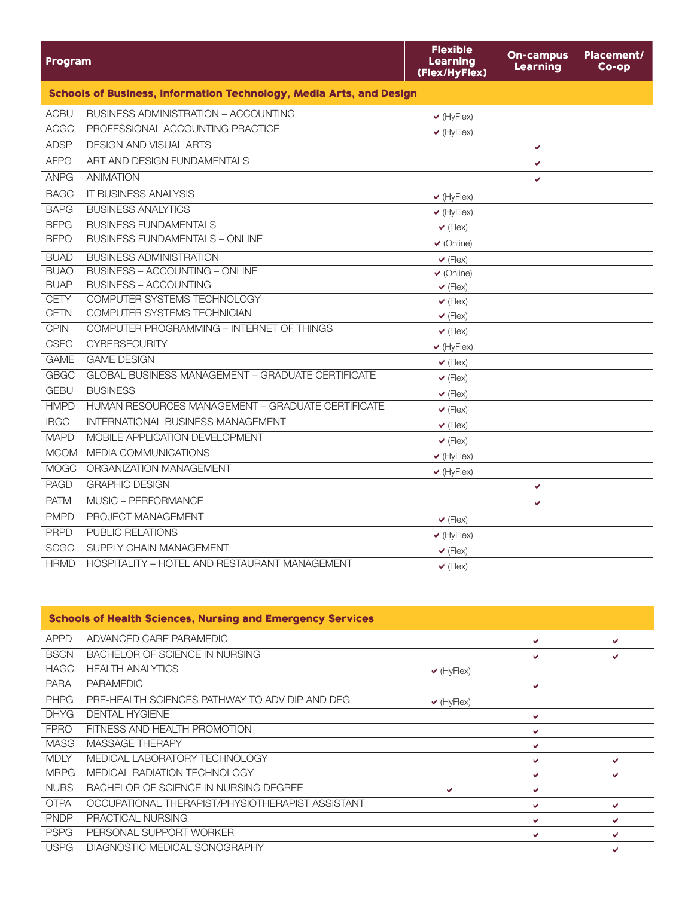| Program     |                                                                     | <b>Flexible</b><br>Learning<br>(Flex/HyFlex) | <b>On-campus</b><br>Learning | Placement/<br>Co-op |
|-------------|---------------------------------------------------------------------|----------------------------------------------|------------------------------|---------------------|
|             | Schools of Business, Information Technology, Media Arts, and Design |                                              |                              |                     |
| <b>ACBU</b> | BUSINESS ADMINISTRATION - ACCOUNTING                                | $\vee$ (HyFlex)                              |                              |                     |
| <b>ACGC</b> | PROFESSIONAL ACCOUNTING PRACTICE                                    | $\vee$ (HyFlex)                              |                              |                     |
| <b>ADSP</b> | <b>DESIGN AND VISUAL ARTS</b>                                       |                                              | V                            |                     |
| <b>AFPG</b> | ART AND DESIGN FUNDAMENTALS                                         |                                              | ✔                            |                     |
| <b>ANPG</b> | <b>ANIMATION</b>                                                    |                                              | V                            |                     |
| <b>BAGC</b> | <b>IT BUSINESS ANALYSIS</b>                                         | $\vee$ (HyFlex)                              |                              |                     |
| <b>BAPG</b> | <b>BUSINESS ANALYTICS</b>                                           | $\vee$ (HyFlex)                              |                              |                     |
| <b>BFPG</b> | <b>BUSINESS FUNDAMENTALS</b>                                        | $\vee$ (Flex)                                |                              |                     |
| <b>BFPO</b> | <b>BUSINESS FUNDAMENTALS - ONLINE</b>                               | $\vee$ (Online)                              |                              |                     |
| <b>BUAD</b> | <b>BUSINESS ADMINISTRATION</b>                                      | $\vee$ (Flex)                                |                              |                     |
| <b>BUAO</b> | <b>BUSINESS - ACCOUNTING - ONLINE</b>                               | $\vee$ (Online)                              |                              |                     |
| <b>BUAP</b> | <b>BUSINESS - ACCOUNTING</b>                                        | $\vee$ (Flex)                                |                              |                     |
| <b>CETY</b> | COMPUTER SYSTEMS TECHNOLOGY                                         | $\vee$ (Flex)                                |                              |                     |
| <b>CETN</b> | COMPUTER SYSTEMS TECHNICIAN                                         | $\vee$ (Flex)                                |                              |                     |
| <b>CPIN</b> | COMPUTER PROGRAMMING - INTERNET OF THINGS                           | $\vee$ (Flex)                                |                              |                     |
| CSEC        | <b>CYBERSECURITY</b>                                                | $\vee$ (HyFlex)                              |                              |                     |
| <b>GAME</b> | <b>GAME DESIGN</b>                                                  | $\vee$ (Flex)                                |                              |                     |
| <b>GBGC</b> | <b>GLOBAL BUSINESS MANAGEMENT - GRADUATE CERTIFICATE</b>            | $\vee$ (Flex)                                |                              |                     |
| <b>GEBU</b> | <b>BUSINESS</b>                                                     | $\vee$ (Flex)                                |                              |                     |
| <b>HMPD</b> | HUMAN RESOURCES MANAGEMENT - GRADUATE CERTIFICATE                   | $\vee$ (Flex)                                |                              |                     |
| <b>IBGC</b> | <b>INTERNATIONAL BUSINESS MANAGEMENT</b>                            | $\vee$ (Flex)                                |                              |                     |
| <b>MAPD</b> | MOBILE APPLICATION DEVELOPMENT                                      | $\vee$ (Flex)                                |                              |                     |
| <b>MCOM</b> | MEDIA COMMUNICATIONS                                                | $\vee$ (HyFlex)                              |                              |                     |
| <b>MOGC</b> | ORGANIZATION MANAGEMENT                                             | $\vee$ (HyFlex)                              |                              |                     |
| <b>PAGD</b> | <b>GRAPHIC DESIGN</b>                                               |                                              | V                            |                     |
| <b>PATM</b> | MUSIC - PERFORMANCE                                                 |                                              | V                            |                     |
| <b>PMPD</b> | PROJECT MANAGEMENT                                                  | $\vee$ (Flex)                                |                              |                     |
| <b>PRPD</b> | PUBLIC RELATIONS                                                    | $\vee$ (HyFlex)                              |                              |                     |
| <b>SCGC</b> | SUPPLY CHAIN MANAGEMENT                                             | $\vee$ (Flex)                                |                              |                     |
| <b>HRMD</b> | HOSPITALITY - HOTEL AND RESTAURANT MANAGEMENT                       | $\vee$ (Flex)                                |                              |                     |

| <b>Schools of Health Sciences, Nursing and Emergency Services</b> |                                                  |                 |   |   |
|-------------------------------------------------------------------|--------------------------------------------------|-----------------|---|---|
| <b>APPD</b>                                                       | ADVANCED CARE PARAMEDIC                          |                 | ✔ | ✔ |
| <b>BSCN</b>                                                       | BACHELOR OF SCIENCE IN NURSING                   |                 | ✔ | ✔ |
| <b>HAGC</b>                                                       | <b>HEALTH ANALYTICS</b>                          | $\vee$ (HyFlex) |   |   |
| <b>PARA</b>                                                       | <b>PARAMEDIC</b>                                 |                 | v |   |
| <b>PHPG</b>                                                       | PRE-HEALTH SCIENCES PATHWAY TO ADV DIP AND DEG   | $\vee$ (HyFlex) |   |   |
| <b>DHYG</b>                                                       | <b>DENTAL HYGIENE</b>                            |                 | v |   |
| <b>FPRO</b>                                                       | FITNESS AND HEALTH PROMOTION                     |                 | ✔ |   |
| <b>MASG</b>                                                       | <b>MASSAGE THERAPY</b>                           |                 | ✔ |   |
| <b>MDLY</b>                                                       | MEDICAL LABORATORY TECHNOLOGY                    |                 | ✔ | ✔ |
| <b>MRPG</b>                                                       | MEDICAL RADIATION TECHNOLOGY                     |                 | v | ✔ |
| <b>NURS</b>                                                       | BACHELOR OF SCIENCE IN NURSING DEGREE            | v               | ✔ |   |
| <b>OTPA</b>                                                       | OCCUPATIONAL THERAPIST/PHYSIOTHERAPIST ASSISTANT |                 | ✔ | ✔ |
| <b>PNDP</b>                                                       | PRACTICAL NURSING                                |                 | ✔ | ✔ |
| <b>PSPG</b>                                                       | PERSONAL SUPPORT WORKER                          |                 | ✔ | v |
| <b>USPG</b>                                                       | DIAGNOSTIC MEDICAL SONOGRAPHY                    |                 |   | ✔ |